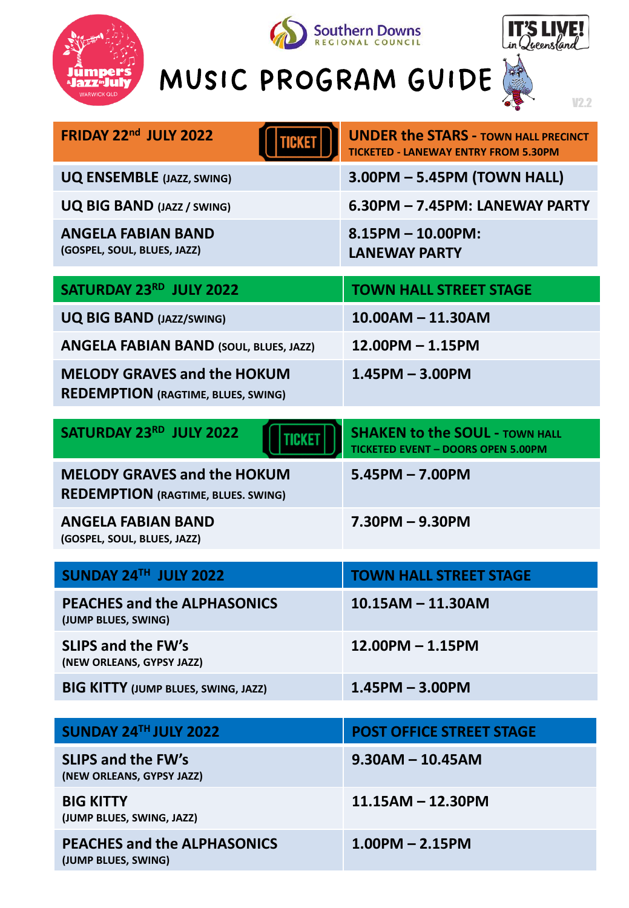







V2.2

| <b>FRIDAY 22nd JULY 2022</b>                                                    | <b>UNDER the STARS - TOWN HALL PRECINCT</b><br><b>TICKETED - LANEWAY ENTRY FROM 5.30PM</b> |
|---------------------------------------------------------------------------------|--------------------------------------------------------------------------------------------|
| <b>UQ ENSEMBLE (JAZZ, SWING)</b>                                                | 3.00PM - 5.45PM (TOWN HALL)                                                                |
| <b>UQ BIG BAND (JAZZ / SWING)</b>                                               | 6.30PM - 7.45PM: LANEWAY PARTY                                                             |
| <b>ANGELA FABIAN BAND</b><br>(GOSPEL, SOUL, BLUES, JAZZ)                        | $8.15$ PM $- 10.00$ PM:<br><b>LANEWAY PARTY</b>                                            |
| SATURDAY 23RD JULY 2022                                                         | <b>TOWN HALL STREET STAGE</b>                                                              |
| <b>UQ BIG BAND (JAZZ/SWING)</b>                                                 | $10.00AM - 11.30AM$                                                                        |
| <b>ANGELA FABIAN BAND (SOUL, BLUES, JAZZ)</b>                                   | $12.00$ PM $- 1.15$ PM                                                                     |
| <b>MELODY GRAVES and the HOKUM</b><br><b>REDEMPTION (RAGTIME, BLUES, SWING)</b> | $1.45$ PM $- 3.00$ PM                                                                      |
| SATURDAY 23RD JULY 2022<br>TICKET                                               | <b>SHAKEN to the SOUL - TOWN HALL</b><br><b>TICKETED EVENT - DOORS OPEN 5.00PM</b>         |
| <b>MELODY GRAVES and the HOKUM</b><br><b>REDEMPTION (RAGTIME, BLUES. SWING)</b> | $5.45$ PM $- 7.00$ PM                                                                      |
| <b>ANGELA FABIAN BAND</b><br>(GOSPEL, SOUL, BLUES, JAZZ)                        | $7.30$ PM $-$ 9.30PM                                                                       |
| SUNDAY 24TH JULY 2022                                                           | <b>TOWN HALL STREET STAGE</b>                                                              |
| <b>PEACHES and the ALPHASONICS</b><br>(JUMP BLUES, SWING)                       | $10.15AM - 11.30AM$                                                                        |
| <b>SLIPS and the FW's</b><br>(NEW ORLEANS, GYPSY JAZZ)                          | 12.00PM - 1.15PM                                                                           |
| <b>BIG KITTY (JUMP BLUES, SWING, JAZZ)</b>                                      | $1.45$ PM $- 3.00$ PM                                                                      |
| SUNDAY 24TH JULY 2022                                                           | <b>POST OFFICE STREET STAGE</b>                                                            |

| SUNDAY 24TH JULY 2022                                     | <b>POST OFFICE STREET STAGE</b> |
|-----------------------------------------------------------|---------------------------------|
| <b>SLIPS and the FW's</b><br>(NEW ORLEANS, GYPSY JAZZ)    | $9.30$ AM - 10.45AM             |
| <b>BIG KITTY</b><br>(JUMP BLUES, SWING, JAZZ)             | $11.15AM - 12.30PM$             |
| <b>PEACHES and the ALPHASONICS</b><br>(JUMP BLUES, SWING) | $1.00$ PM $- 2.15$ PM           |